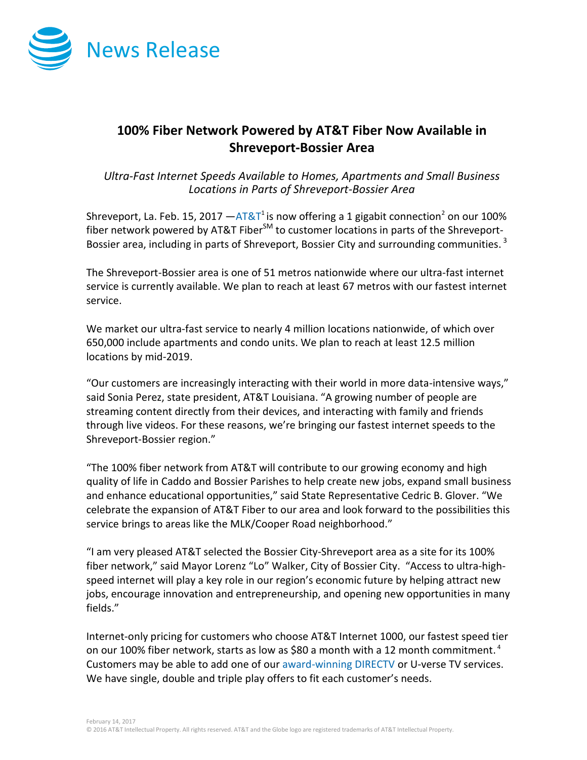

## **100% Fiber Network Powered by AT&T Fiber Now Available in Shreveport-Bossier Area**

*Ultra-Fast Internet Speeds Available to Homes, Apartments and Small Business Locations in Parts of Shreveport-Bossier Area* 

Shreveport, La. Feb. 15, 2017  $-$ [AT&T](http://about.att.com/category/all_news.html)<sup>1</sup> is now offering a 1 gigabit connection<sup>2</sup> on our 100% fiber network powered by AT&T Fiber $^{SM}$  to customer locations in parts of the Shreveport-Bossier area, including in parts of Shreveport, Bossier City and surrounding communities.  $^3$ 

The Shreveport-Bossier area is one of 51 metros nationwide where our ultra-fast internet service is currently available. We plan to reach at least 67 metros with our fastest internet service.

We market our ultra-fast service to nearly 4 million locations nationwide, of which over 650,000 include apartments and condo units. We plan to reach at least 12.5 million locations by mid-2019.

"Our customers are increasingly interacting with their world in more data-intensive ways," said Sonia Perez, state president, AT&T Louisiana. "A growing number of people are streaming content directly from their devices, and interacting with family and friends through live videos. For these reasons, we're bringing our fastest internet speeds to the Shreveport-Bossier region."

"The 100% fiber network from AT&T will contribute to our growing economy and high quality of life in Caddo and Bossier Parishes to help create new jobs, expand small business and enhance educational opportunities," said State Representative Cedric B. Glover. "We celebrate the expansion of AT&T Fiber to our area and look forward to the possibilities this service brings to areas like the MLK/Cooper Road neighborhood."

"I am very pleased AT&T selected the Bossier City-Shreveport area as a site for its 100% fiber network," said Mayor Lorenz "Lo" Walker, City of Bossier City. "Access to ultra-highspeed internet will play a key role in our region's economic future by helping attract new jobs, encourage innovation and entrepreneurship, and opening new opportunities in many fields."

Internet-only pricing for customers who choose AT&T Internet 1000, our fastest speed tier on our 100% fiber network, starts as low as \$80 a month with a 12 month commitment.<sup>4</sup> Customers may be able to add one of our [award-winning DIRECTV](http://www.directv.com/) or U-verse TV services. We have single, double and triple play offers to fit each customer's needs.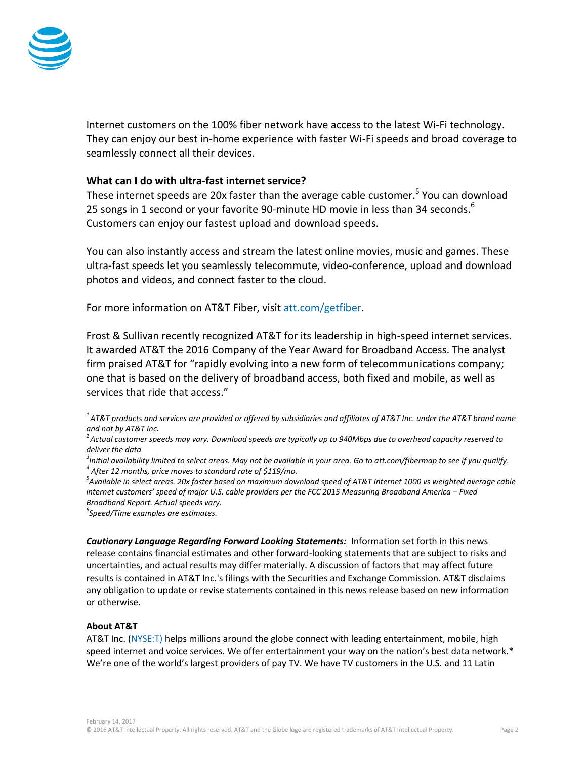

Internet customers on the 100% fiber network have access to the latest Wi-Fi technology. They can enjoy our best in-home experience with faster Wi-Fi speeds and broad coverage to seamlessly connect all their devices.

## **What can I do with ultra-fast internet service?**

These internet speeds are 20x faster than the average cable customer.<sup>5</sup> You can download 25 songs in 1 second or your favorite 90-minute HD movie in less than 34 seconds. $^6$ Customers can enjoy our fastest upload and download speeds.

You can also instantly access and stream the latest online movies, music and games. These ultra-fast speeds let you seamlessly telecommute, video-conference, upload and download photos and videos, and connect faster to the cloud.

For more information on AT&T Fiber, visit [att.com/getfiber.](https://www.att.com/internet/gigapower.html?source=ECtr0000000000GdD&wtExtndSource=getfiber)

Frost & Sullivan recently recognized AT&T for its leadership in high-speed internet services. It awarded AT&T the 2016 Company of the Year Award for Broadband Access. The analyst firm praised AT&T for "rapidly evolving into a new form of telecommunications company; one that is based on the delivery of broadband access, both fixed and mobile, as well as services that ride that access."

*<sup>1</sup>AT&T products and services are provided or offered by subsidiaries and affiliates of AT&T Inc. under the AT&T brand name and not by AT&T Inc.*

*<sup>2</sup>Actual customer speeds may vary. Download speeds are typically up to 940Mbps due to overhead capacity reserved to deliver the data*

*3 Initial availability limited to select areas. May not be available in your area. Go to att.com/fibermap to see if you qualify. 4 After 12 months, price moves to standard rate of \$119/mo.*

*5 Available in select areas. 20x faster based on maximum download speed of AT&T Internet 1000 vs weighted average cable internet customers' speed of major U.S. cable providers per the FCC 2015 Measuring Broadband America – Fixed Broadband Report. Actual speeds vary.*

*6 Speed/Time examples are estimates.*

*Cautionary Language Regarding Forward Looking Statements:* Information set forth in this news release contains financial estimates and other forward-looking statements that are subject to risks and uncertainties, and actual results may differ materially. A discussion of factors that may affect future results is contained in AT&T Inc.'s filings with the Securities and Exchange Commission. AT&T disclaims any obligation to update or revise statements contained in this news release based on new information or otherwise.

## **About AT&T**

AT&T Inc. [\(NYSE:T\)](http://www.att.com/gen/landing-pages?pid=5718) helps millions around the globe connect with leading entertainment, mobile, high speed internet and voice services. We offer entertainment your way on the nation's best data network.\* We're one of the world's largest providers of pay TV. We have TV customers in the U.S. and 11 Latin